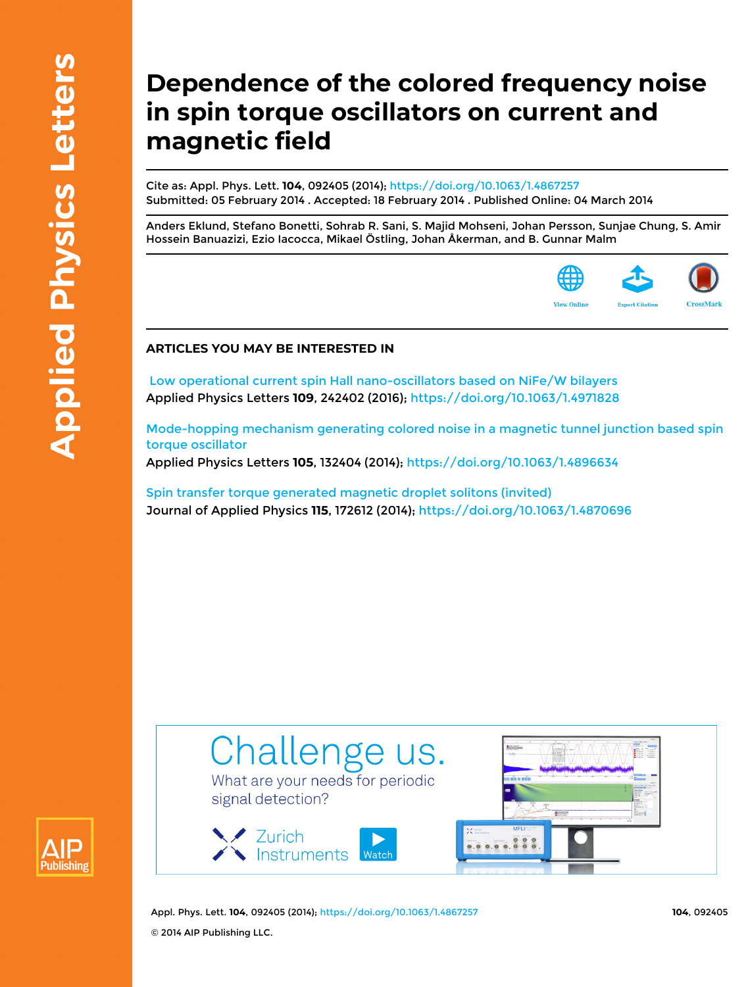## **Dependence of the colored frequency noise in spin torque oscillators on current and magnetic field**

Cite as: Appl. Phys. Lett. **104**, 092405 (2014); <https://doi.org/10.1063/1.4867257> Submitted: 05 February 2014 . Accepted: 18 February 2014 . Published Online: 04 March 2014

[Anders Eklund,](https://aip.scitation.org/author/Eklund%2C+Anders) [Stefano Bonetti](https://aip.scitation.org/author/Bonetti%2C+Stefano), [Sohrab R. Sani,](https://aip.scitation.org/author/Sani%2C+Sohrab+R) [S. Majid Mohseni](https://aip.scitation.org/author/Majid+Mohseni%2C+S), [Johan Persson](https://aip.scitation.org/author/Persson%2C+Johan), [Sunjae Chung](https://aip.scitation.org/author/Chung%2C+Sunjae), [S. Amir](https://aip.scitation.org/author/Amir+Hossein+Banuazizi%2C+S) [Hossein Banuazizi](https://aip.scitation.org/author/Amir+Hossein+Banuazizi%2C+S), [Ezio Iacocca,](https://aip.scitation.org/author/Iacocca%2C+Ezio) [Mikael Östling,](https://aip.scitation.org/author/%C3%96stling%2C+Mikael) [Johan Åkerman](https://aip.scitation.org/author/%C3%85kerman%2C+Johan), and [B. Gunnar Malm](https://aip.scitation.org/author/Gunnar+Malm%2C+B)



## **ARTICLES YOU MAY BE INTERESTED IN**

 [Low operational current spin Hall nano-oscillators based on NiFe/W bilayers](https://aip.scitation.org/doi/10.1063/1.4971828) Applied Physics Letters **109**, 242402 (2016);<https://doi.org/10.1063/1.4971828>

[Mode-hopping mechanism generating colored noise in a magnetic tunnel junction based spin](https://aip.scitation.org/doi/10.1063/1.4896634) [torque oscillator](https://aip.scitation.org/doi/10.1063/1.4896634)

Applied Physics Letters **105**, 132404 (2014); <https://doi.org/10.1063/1.4896634>

[Spin transfer torque generated magnetic droplet solitons \(invited\)](https://aip.scitation.org/doi/10.1063/1.4870696) Journal of Applied Physics **115**, 172612 (2014); <https://doi.org/10.1063/1.4870696>



What are your needs for periodic signal detection?





Appl. Phys. Lett. **104**, 092405 (2014); <https://doi.org/10.1063/1.4867257> **104**, 092405 © 2014 AIP Publishing LLC.

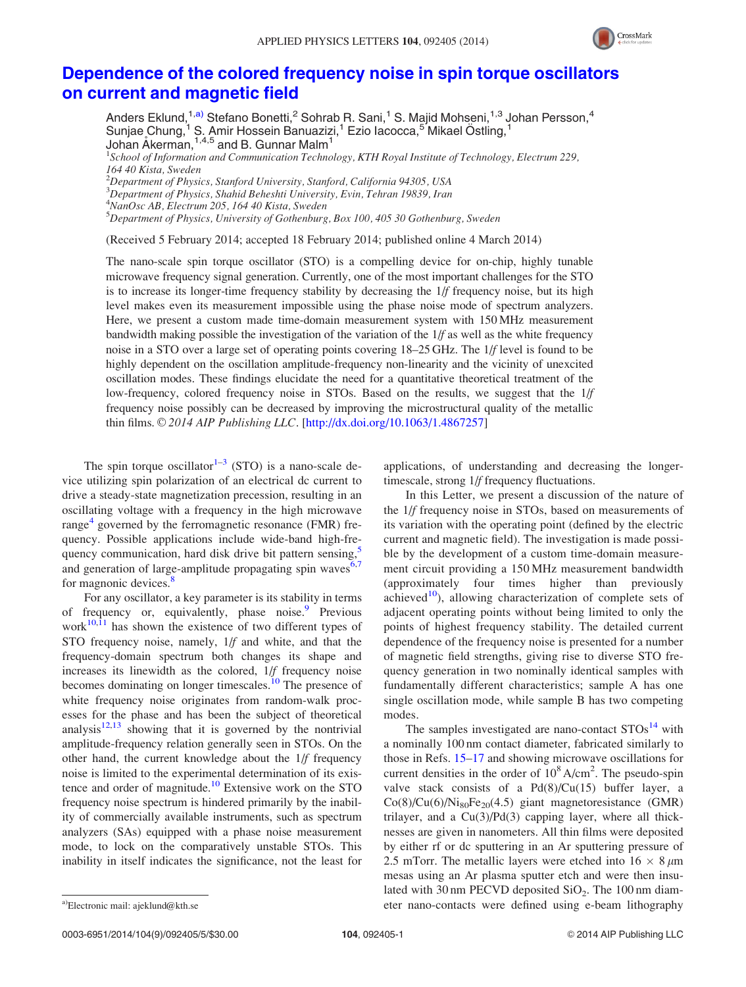

## [Dependence of the colored frequency noise in spin torque oscillators](http://dx.doi.org/10.1063/1.4867257) [on current and magnetic field](http://dx.doi.org/10.1063/1.4867257)

Anders Eklund,<sup>1,a)</sup> Stefano Bonetti,<sup>2</sup> Sohrab R. Sani,<sup>1</sup> S. Majid Mohseni,<sup>1,3</sup> Johan Persson,<sup>4</sup> Sunjae Chung,<sup>1</sup> S. Amir Hossein Banuazizi,<sup>1</sup> Ezio Iacocca,<sup>5</sup> Mikael Östling,<sup>1</sup> Johan Åkerman, $1,4,5$  and B. Gunnar Malm $^1$ 

<sup>1</sup>School of Information and Communication Technology, KTH Royal Institute of Technology, Electrum 229, 164 40 Kista, Sweden

 $^{2}$ Department of Physics, Stanford University, Stanford, California 94305, USA

3 Department of Physics, Shahid Beheshti University, Evin, Tehran 19839, Iran

4 NanOsc AB, Electrum 205, 164 40 Kista, Sweden

5 Department of Physics, University of Gothenburg, Box 100, 405 30 Gothenburg, Sweden

(Received 5 February 2014; accepted 18 February 2014; published online 4 March 2014)

The nano-scale spin torque oscillator (STO) is a compelling device for on-chip, highly tunable microwave frequency signal generation. Currently, one of the most important challenges for the STO is to increase its longer-time frequency stability by decreasing the 1/f frequency noise, but its high level makes even its measurement impossible using the phase noise mode of spectrum analyzers. Here, we present a custom made time-domain measurement system with 150 MHz measurement bandwidth making possible the investigation of the variation of the  $1/f$  as well as the white frequency noise in a STO over a large set of operating points covering 18–25 GHz. The 1/f level is found to be highly dependent on the oscillation amplitude-frequency non-linearity and the vicinity of unexcited oscillation modes. These findings elucidate the need for a quantitative theoretical treatment of the low-frequency, colored frequency noise in STOs. Based on the results, we suggest that the  $1/f$ frequency noise possibly can be decreased by improving the microstructural quality of the metallic thin films.  $\odot$  2014 AIP Publishing LLC. [\[http://dx.doi.org/10.1063/1.4867257](http://dx.doi.org/10.1063/1.4867257)]

The spin torque oscillator<sup>[1–3](#page-4-0)</sup> (STO) is a nano-scale device utilizing spin polarization of an electrical dc current to drive a steady-state magnetization precession, resulting in an oscillating voltage with a frequency in the high microwave range<sup>[4](#page-4-0)</sup> governed by the ferromagnetic resonance (FMR) frequency. Possible applications include wide-band high-frequency communication, hard disk drive bit pattern sensing,<sup>5</sup> and generation of large-amplitude propagating spin waves $6,7$ for magnonic devices.<sup>[8](#page-4-0)</sup>

For any oscillator, a key parameter is its stability in terms of frequency or, equivalently, phase noise.<sup>9</sup> Previous work $10,\overline{11}$  has shown the existence of two different types of STO frequency noise, namely, 1/f and white, and that the frequency-domain spectrum both changes its shape and increases its linewidth as the colored, 1/f frequency noise becomes dominating on longer timescales.<sup>10</sup> The presence of white frequency noise originates from random-walk processes for the phase and has been the subject of theoretical analysis $12,13$  showing that it is governed by the nontrivial amplitude-frequency relation generally seen in STOs. On the other hand, the current knowledge about the 1/f frequency noise is limited to the experimental determination of its existence and order of magnitude.<sup>10</sup> Extensive work on the STO frequency noise spectrum is hindered primarily by the inability of commercially available instruments, such as spectrum analyzers (SAs) equipped with a phase noise measurement mode, to lock on the comparatively unstable STOs. This inability in itself indicates the significance, not the least for

applications, of understanding and decreasing the longertimescale, strong 1/f frequency fluctuations.

In this Letter, we present a discussion of the nature of the 1/f frequency noise in STOs, based on measurements of its variation with the operating point (defined by the electric current and magnetic field). The investigation is made possible by the development of a custom time-domain measurement circuit providing a 150 MHz measurement bandwidth (approximately four times higher than previously achieved<sup>10</sup>), allowing characterization of complete sets of adjacent operating points without being limited to only the points of highest frequency stability. The detailed current dependence of the frequency noise is presented for a number of magnetic field strengths, giving rise to diverse STO frequency generation in two nominally identical samples with fundamentally different characteristics; sample A has one single oscillation mode, while sample B has two competing modes.

The samples investigated are nano-contact  $STOs<sup>14</sup>$  $STOs<sup>14</sup>$  $STOs<sup>14</sup>$  with a nominally 100 nm contact diameter, fabricated similarly to those in Refs. [15–17](#page-4-0) and showing microwave oscillations for current densities in the order of  $10^8$  A/cm<sup>2</sup>. The pseudo-spin valve stack consists of a  $Pd(8)/Cu(15)$  buffer layer, a  $Co(8)/Cu(6)/Ni<sub>80</sub>Fe<sub>20</sub>(4.5)$  giant magnetoresistance (GMR) trilayer, and a  $Cu(3)/Pd(3)$  capping layer, where all thicknesses are given in nanometers. All thin films were deposited by either rf or dc sputtering in an Ar sputtering pressure of 2.5 mTorr. The metallic layers were etched into  $16 \times 8 \mu m$ mesas using an Ar plasma sputter etch and were then insulated with 30 nm PECVD deposited  $SiO<sub>2</sub>$ . The 100 nm diama)Electronic mail: [ajeklund@kth.se](mailto:ajeklund@kth.se) eter nano-contacts were defined using e-beam lithography

0003-6951/2014/104(9)/092405/5/\$30.00 104, 092405-1 004, 092405-1 0003-6951/2014 AIP Publishing LLC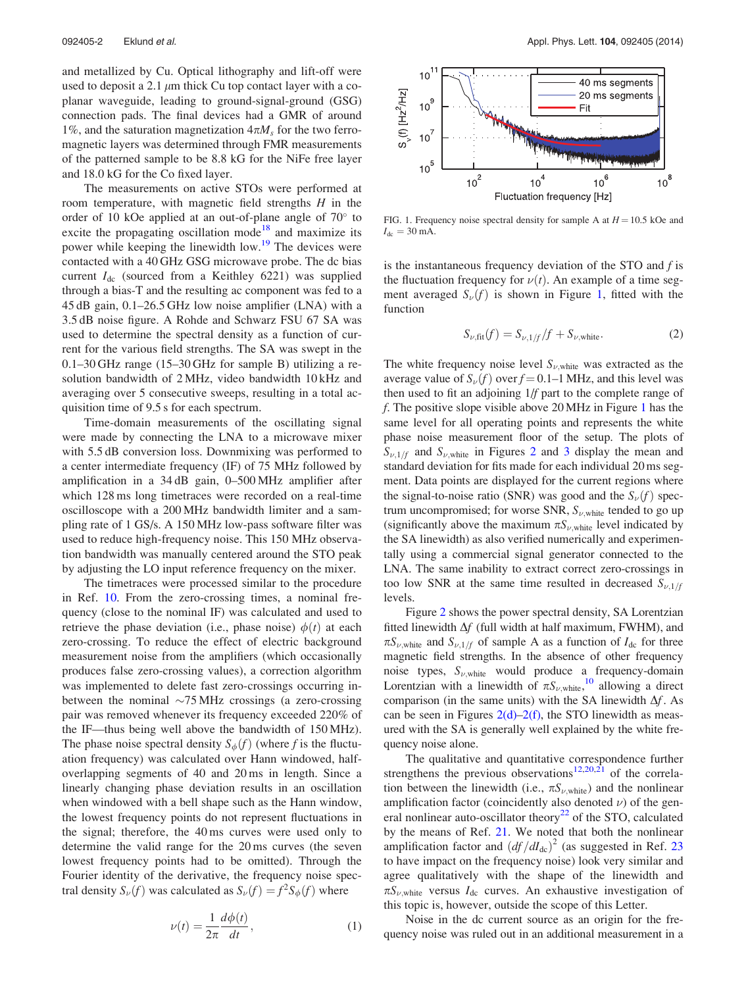and metallized by Cu. Optical lithography and lift-off were used to deposit a 2.1  $\mu$ m thick Cu top contact layer with a coplanar waveguide, leading to ground-signal-ground (GSG) connection pads. The final devices had a GMR of around 1%, and the saturation magnetization  $4\pi M_s$  for the two ferromagnetic layers was determined through FMR measurements of the patterned sample to be 8.8 kG for the NiFe free layer and 18.0 kG for the Co fixed layer.

The measurements on active STOs were performed at room temperature, with magnetic field strengths  $H$  in the order of 10 kOe applied at an out-of-plane angle of  $70^{\circ}$  to excite the propagating oscillation mode<sup>[18](#page-5-0)</sup> and maximize its power while keeping the linewidth low.<sup>[19](#page-5-0)</sup> The devices were contacted with a 40 GHz GSG microwave probe. The dc bias current  $I_{dc}$  (sourced from a Keithley 6221) was supplied through a bias-T and the resulting ac component was fed to a 45 dB gain, 0.1–26.5 GHz low noise amplifier (LNA) with a 3.5 dB noise figure. A Rohde and Schwarz FSU 67 SA was used to determine the spectral density as a function of current for the various field strengths. The SA was swept in the 0.1–30 GHz range (15–30 GHz for sample B) utilizing a resolution bandwidth of 2 MHz, video bandwidth 10 kHz and averaging over 5 consecutive sweeps, resulting in a total acquisition time of 9.5 s for each spectrum.

Time-domain measurements of the oscillating signal were made by connecting the LNA to a microwave mixer with 5.5 dB conversion loss. Downmixing was performed to a center intermediate frequency (IF) of 75 MHz followed by amplification in a 34 dB gain, 0–500 MHz amplifier after which 128 ms long timetraces were recorded on a real-time oscilloscope with a 200 MHz bandwidth limiter and a sampling rate of 1 GS/s. A 150 MHz low-pass software filter was used to reduce high-frequency noise. This 150 MHz observation bandwidth was manually centered around the STO peak by adjusting the LO input reference frequency on the mixer.

The timetraces were processed similar to the procedure in Ref. [10.](#page-4-0) From the zero-crossing times, a nominal frequency (close to the nominal IF) was calculated and used to retrieve the phase deviation (i.e., phase noise)  $\phi(t)$  at each zero-crossing. To reduce the effect of electric background measurement noise from the amplifiers (which occasionally produces false zero-crossing values), a correction algorithm was implemented to delete fast zero-crossings occurring inbetween the nominal  $\sim$ 75 MHz crossings (a zero-crossing pair was removed whenever its frequency exceeded 220% of the IF—thus being well above the bandwidth of 150 MHz). The phase noise spectral density  $S_{\phi}(f)$  (where f is the fluctuation frequency) was calculated over Hann windowed, halfoverlapping segments of 40 and 20 ms in length. Since a linearly changing phase deviation results in an oscillation when windowed with a bell shape such as the Hann window, the lowest frequency points do not represent fluctuations in the signal; therefore, the 40 ms curves were used only to determine the valid range for the 20 ms curves (the seven lowest frequency points had to be omitted). Through the Fourier identity of the derivative, the frequency noise spectral density  $S_{\nu}(f)$  was calculated as  $S_{\nu}(f) = f^2 S_{\phi}(f)$  where



FIG. 1. Frequency noise spectral density for sample A at  $H = 10.5$  kOe and  $I_{\text{dc}} = 30 \text{ mA}.$ 

is the instantaneous frequency deviation of the STO and f is the fluctuation frequency for  $\nu(t)$ . An example of a time segment averaged  $S_{\nu}(f)$  is shown in Figure 1, fitted with the function

$$
S_{\nu, \text{fit}}(f) = S_{\nu, 1/f} / f + S_{\nu, \text{white}}.
$$
 (2)

The white frequency noise level  $S_{\nu, \text{white}}$  was extracted as the average value of  $S_{\nu}(f)$  over  $f = 0.1 - 1$  MHz, and this level was then used to fit an adjoining 1/f part to the complete range of f. The positive slope visible above 20 MHz in Figure 1 has the same level for all operating points and represents the white phase noise measurement floor of the setup. The plots of  $S_{\nu,1/f}$  and  $S_{\nu,\text{white}}$  in Figures [2](#page-3-0) and [3](#page-3-0) display the mean and standard deviation for fits made for each individual 20 ms segment. Data points are displayed for the current regions where the signal-to-noise ratio (SNR) was good and the  $S_{\nu}(f)$  spectrum uncompromised; for worse SNR,  $S_{\nu, \text{white}}$  tended to go up (significantly above the maximum  $\pi S_{\nu,\text{white}}$  level indicated by the SA linewidth) as also verified numerically and experimentally using a commercial signal generator connected to the LNA. The same inability to extract correct zero-crossings in too low SNR at the same time resulted in decreased  $S_{\nu,1/f}$ levels.

Figure [2](#page-3-0) shows the power spectral density, SA Lorentzian fitted linewidth  $\Delta f$  (full width at half maximum, FWHM), and  $\pi S_{\nu, \text{white}}$  and  $S_{\nu, 1/f}$  of sample A as a function of  $I_{\text{dc}}$  for three magnetic field strengths. In the absence of other frequency noise types,  $S_{\nu, \text{white}}$  would produce a frequency-domain Lorentzian with a linewidth of  $\pi S_{\nu,\text{white}}^{10}$  $\pi S_{\nu,\text{white}}^{10}$  $\pi S_{\nu,\text{white}}^{10}$ , allowing a direct comparison (in the same units) with the SA linewidth  $\Delta f$ . As can be seen in Figures  $2(d)-2(f)$ , the STO linewidth as measured with the SA is generally well explained by the white frequency noise alone.

The qualitative and quantitative correspondence further strengthens the previous observations<sup>12,[20,21](#page-5-0)</sup> of the correlation between the linewidth (i.e.,  $\pi S_{\nu, \text{white}}$ ) and the nonlinear amplification factor (coincidently also denoted  $\nu$ ) of the gen-eral nonlinear auto-oscillator theory<sup>[22](#page-5-0)</sup> of the STO, calculated by the means of Ref. [21.](#page-5-0) We noted that both the nonlinear amplification factor and  $\left( df/dI_{\text{dc}} \right)^2$  (as suggested in Ref. [23](#page-5-0) to have impact on the frequency noise) look very similar and agree qualitatively with the shape of the linewidth and  $\pi S_{\nu, \text{white}}$  versus  $I_{\text{dc}}$  curves. An exhaustive investigation of this topic is, however, outside the scope of this Letter.

Noise in the dc current source as an origin for the frequency noise was ruled out in an additional measurement in a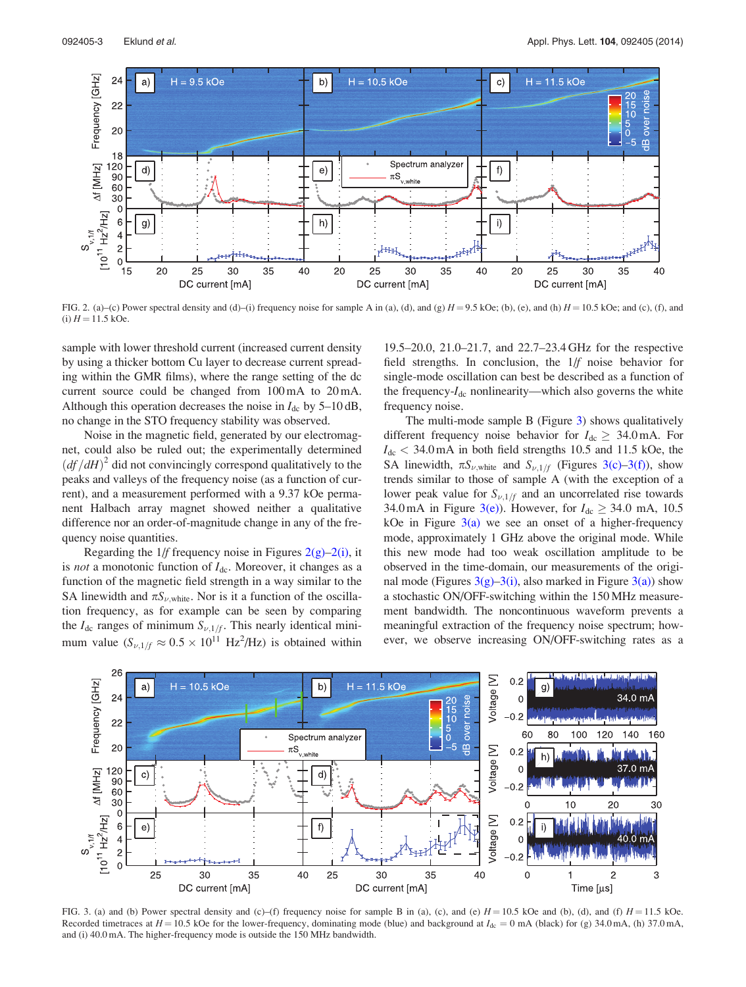<span id="page-3-0"></span>

FIG. 2. (a)–(c) Power spectral density and (d)–(i) frequency noise for sample A in (a), (d), and (g)  $H = 9.5$  kOe; (b), (e), and (h)  $H = 10.5$  kOe; and (c), (f), and (i)  $H = 11.5$  kOe.

sample with lower threshold current (increased current density by using a thicker bottom Cu layer to decrease current spreading within the GMR films), where the range setting of the dc current source could be changed from 100 mA to 20 mA. Although this operation decreases the noise in  $I_{dc}$  by 5–10 dB, no change in the STO frequency stability was observed.

Noise in the magnetic field, generated by our electromagnet, could also be ruled out; the experimentally determined  $\left( df/dH \right)^2$  did not convincingly correspond qualitatively to the peaks and valleys of the frequency noise (as a function of current), and a measurement performed with a 9.37 kOe permanent Halbach array magnet showed neither a qualitative difference nor an order-of-magnitude change in any of the frequency noise quantities.

Regarding the  $1/f$  frequency noise in Figures  $2(g)-2(i)$ , it is *not* a monotonic function of  $I_{dc}$ . Moreover, it changes as a function of the magnetic field strength in a way similar to the SA linewidth and  $\pi S_{\nu, \text{white}}$ . Nor is it a function of the oscillation frequency, as for example can be seen by comparing the  $I_{dc}$  ranges of minimum  $S_{\nu,1/f}$ . This nearly identical minimum value  $(S_{\nu,1/f} \approx 0.5 \times 10^{11} \text{ Hz}^2/\text{Hz})$  is obtained within

19.5–20.0, 21.0–21.7, and 22.7–23.4 GHz for the respective field strengths. In conclusion, the 1/f noise behavior for single-mode oscillation can best be described as a function of the frequency- $I_{dc}$  nonlinearity—which also governs the white frequency noise.

The multi-mode sample B (Figure 3) shows qualitatively different frequency noise behavior for  $I_{dc} \geq 34.0 \text{ mA}$ . For  $I_{dc}$  < 34.0 mA in both field strengths 10.5 and 11.5 kOe, the SA linewidth,  $\pi S_{\nu, \text{white}}$  and  $S_{\nu,1/f}$  (Figures 3(c)–3(f)), show trends similar to those of sample A (with the exception of a lower peak value for  $S_{\nu,1/f}$  and an uncorrelated rise towards 34.0 mA in Figure 3(e)). However, for  $I_{dc} \geq 34.0$  mA, 10.5 kOe in Figure  $3(a)$  we see an onset of a higher-frequency mode, approximately 1 GHz above the original mode. While this new mode had too weak oscillation amplitude to be observed in the time-domain, our measurements of the original mode (Figures  $3(g)-3(i)$ , also marked in Figure  $3(a)$ ) show a stochastic ON/OFF-switching within the 150 MHz measurement bandwidth. The noncontinuous waveform prevents a meaningful extraction of the frequency noise spectrum; however, we observe increasing ON/OFF-switching rates as a



FIG. 3. (a) and (b) Power spectral density and (c)–(f) frequency noise for sample B in (a), (c), and (e)  $H = 10.5$  kOe and (b), (d), and (f)  $H = 11.5$  kOe. Recorded timetraces at  $H = 10.5$  kOe for the lower-frequency, dominating mode (blue) and background at  $I_{dc} = 0$  mA (black) for (g) 34.0 mA, (h) 37.0 mA, and (i) 40.0 mA. The higher-frequency mode is outside the 150 MHz bandwidth.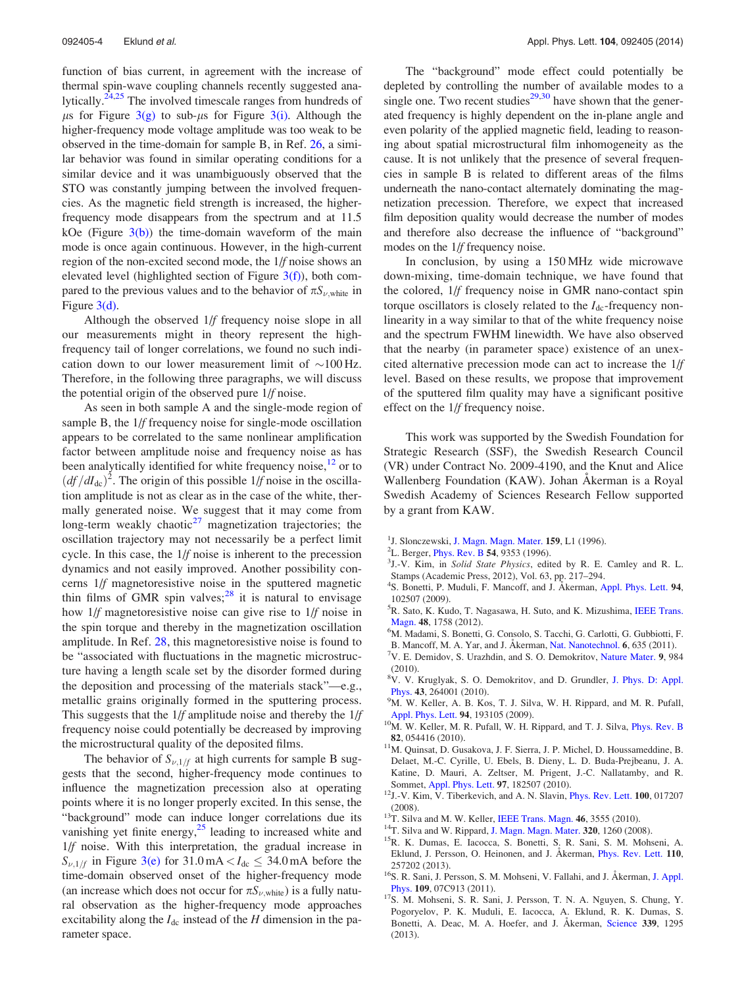<span id="page-4-0"></span>function of bias current, in agreement with the increase of thermal spin-wave coupling channels recently suggested ana-lytically.<sup>[24,25](#page-5-0)</sup> The involved timescale ranges from hundreds of  $\mu$ s for Figure [3\(g\)](#page-3-0) to sub- $\mu$ s for Figure [3\(i\)](#page-3-0). Although the higher-frequency mode voltage amplitude was too weak to be observed in the time-domain for sample B, in Ref. [26](#page-5-0), a similar behavior was found in similar operating conditions for a similar device and it was unambiguously observed that the STO was constantly jumping between the involved frequencies. As the magnetic field strength is increased, the higherfrequency mode disappears from the spectrum and at 11.5 kOe (Figure  $3(b)$ ) the time-domain waveform of the main mode is once again continuous. However, in the high-current region of the non-excited second mode, the 1/f noise shows an elevated level (highlighted section of Figure  $3(f)$ ), both compared to the previous values and to the behavior of  $\pi S_{\nu,\text{white}}$  in Figure [3\(d\)](#page-3-0).

Although the observed 1/f frequency noise slope in all our measurements might in theory represent the highfrequency tail of longer correlations, we found no such indication down to our lower measurement limit of  $\sim$ 100 Hz. Therefore, in the following three paragraphs, we will discuss the potential origin of the observed pure 1/f noise.

As seen in both sample A and the single-mode region of sample B, the 1/f frequency noise for single-mode oscillation appears to be correlated to the same nonlinear amplification factor between amplitude noise and frequency noise as has been analytically identified for white frequency noise,<sup>12</sup> or to  $\left(\frac{df}{dt_{\text{dc}}}\right)^2$ . The origin of this possible  $1/f$  noise in the oscillation amplitude is not as clear as in the case of the white, thermally generated noise. We suggest that it may come from long-term weakly chaotic $27$  magnetization trajectories; the oscillation trajectory may not necessarily be a perfect limit cycle. In this case, the 1/f noise is inherent to the precession dynamics and not easily improved. Another possibility concerns 1/f magnetoresistive noise in the sputtered magnetic thin films of GMR spin valves; $^{28}$  $^{28}$  $^{28}$  it is natural to envisage how 1/f magnetoresistive noise can give rise to 1/f noise in the spin torque and thereby in the magnetization oscillation amplitude. In Ref. [28](#page-5-0), this magnetoresistive noise is found to be "associated with fluctuations in the magnetic microstructure having a length scale set by the disorder formed during the deposition and processing of the materials stack"—e.g., metallic grains originally formed in the sputtering process. This suggests that the 1/f amplitude noise and thereby the 1/f frequency noise could potentially be decreased by improving the microstructural quality of the deposited films.

The behavior of  $S_{\nu,1/f}$  at high currents for sample B suggests that the second, higher-frequency mode continues to influence the magnetization precession also at operating points where it is no longer properly excited. In this sense, the "background" mode can induce longer correlations due its vanishing yet finite energy, $2<sup>5</sup>$  leading to increased white and 1/f noise. With this interpretation, the gradual increase in  $S_{\nu,1/f}$  in Figure [3\(e\)](#page-3-0) for 31.0 mA  $dc \leq 34.0$  mA before the time-domain observed onset of the higher-frequency mode (an increase which does not occur for  $\pi S_{\nu,\text{white}}$ ) is a fully natural observation as the higher-frequency mode approaches excitability along the  $I_{dc}$  instead of the H dimension in the parameter space.

The "background" mode effect could potentially be depleted by controlling the number of available modes to a single one. Two recent studies $29,30$  have shown that the generated frequency is highly dependent on the in-plane angle and even polarity of the applied magnetic field, leading to reasoning about spatial microstructural film inhomogeneity as the cause. It is not unlikely that the presence of several frequencies in sample B is related to different areas of the films underneath the nano-contact alternately dominating the magnetization precession. Therefore, we expect that increased film deposition quality would decrease the number of modes and therefore also decrease the influence of "background" modes on the 1/f frequency noise.

In conclusion, by using a 150 MHz wide microwave down-mixing, time-domain technique, we have found that the colored, 1/f frequency noise in GMR nano-contact spin torque oscillators is closely related to the  $I_{dc}$ -frequency nonlinearity in a way similar to that of the white frequency noise and the spectrum FWHM linewidth. We have also observed that the nearby (in parameter space) existence of an unexcited alternative precession mode can act to increase the 1/f level. Based on these results, we propose that improvement of the sputtered film quality may have a significant positive effect on the 1/f frequency noise.

This work was supported by the Swedish Foundation for Strategic Research (SSF), the Swedish Research Council (VR) under Contract No. 2009-4190, and the Knut and Alice Wallenberg Foundation (KAW). Johan Akerman is a Royal Swedish Academy of Sciences Research Fellow supported by a grant from KAW.

- <sup>1</sup>J. Slonczewski, [J. Magn. Magn. Mater.](http://dx.doi.org/10.1016/0304-8853(96)00062-5) **159**, L1 (1996).
- <sup>2</sup>L. Berger, *[Phys. Rev. B](http://dx.doi.org/10.1103/PhysRevB.54.9353)* 54, 9353 (1996).
- <sup>3</sup>J.-V. Kim, in Solid State Physics, edited by R. E. Camley and R. L. Stamps (Academic Press, 2012), Vol. 63, pp. 217–294.
- <sup>4</sup>S. Bonetti, P. Muduli, F. Mancoff, and J. Akerman, [Appl. Phys. Lett.](http://dx.doi.org/10.1063/1.3097238) 94, 102507 (2009).
- <sup>5</sup>R. Sato, K. Kudo, T. Nagasawa, H. Suto, and K. Mizushima, [IEEE Trans.](http://dx.doi.org/10.1109/TMAG.2011.2173560) [Magn.](http://dx.doi.org/10.1109/TMAG.2011.2173560) 48, 1758 (2012).
- <sup>6</sup>M. Madami, S. Bonetti, G. Consolo, S. Tacchi, G. Carlotti, G. Gubbiotti, F.
- B. Mancoff, M. A. Yar, and J. Åkerman, [Nat. Nanotechnol.](http://dx.doi.org/10.1038/nnano.2011.140) 6, 635 (2011).
- <sup>7</sup>V. E. Demidov, S. Urazhdin, and S. O. Demokritov, [Nature Mater.](http://dx.doi.org/10.1038/nmat2882) 9, 984 (2010).
- <sup>8</sup>V. V. Kruglyak, S. O. Demokritov, and D. Grundler, [J. Phys. D: Appl.](http://dx.doi.org/10.1088/0022-3727/43/26/264001) [Phys.](http://dx.doi.org/10.1088/0022-3727/43/26/264001) 43, 264001 (2010).
- <sup>9</sup>M. W. Keller, A. B. Kos, T. J. Silva, W. H. Rippard, and M. R. Pufall,
- [Appl. Phys. Lett.](http://dx.doi.org/10.1063/1.3133356) 94, 193105 (2009).<br><sup>10</sup>M. W. Keller, M. R. Pufall, W. H. Rippard, and T. J. Silva, [Phys. Rev. B](http://dx.doi.org/10.1103/PhysRevB.82.054416)
- 82, 054416 (2010).  $11$ M. Quinsat, D. Gusakova, J. F. Sierra, J. P. Michel, D. Houssameddine, B. Delaet, M.-C. Cyrille, U. Ebels, B. Dieny, L. D. Buda-Prejbeanu, J. A. Katine, D. Mauri, A. Zeltser, M. Prigent, J.-C. Nallatamby, and R.
- Sommet, [Appl. Phys. Lett.](http://dx.doi.org/10.1063/1.3506901) 97, 182507 (2010).<br><sup>12</sup>J.-V. Kim, V. Tiberkevich, and A. N. Slavin, [Phys. Rev. Lett.](http://dx.doi.org/10.1103/PhysRevLett.100.017207) **100**, 017207 (2008).  $13T$ . Silva and M. W. Keller, [IEEE Trans. Magn.](http://dx.doi.org/10.1109/TMAG.2010.2044583) 46, 3555 (2010).  $14T$ . Silva and W. Rippard, [J. Magn. Magn. Mater.](http://dx.doi.org/10.1016/j.jmmm.2007.12.022) 320, 1260 (2008).  $15R$ . K. Dumas, E. Iacocca, S. Bonetti, S. R. Sani, S. M. Mohseni, A.
- 
- 
- Eklund, J. Persson, O. Heinonen, and J. Åkerman, *[Phys. Rev. Lett.](http://dx.doi.org/10.1103/PhysRevLett.110.257202)* 110, 257202 (2013). <sup>16</sup>S. R. Sani, J. Persson, S. M. Mohseni, V. Fallahi, and J. Åkerman, [J. Appl.](http://dx.doi.org/10.1063/1.3556960)
- [Phys.](http://dx.doi.org/10.1063/1.3556960) <sup>109</sup>, 07C913 (2011). 17S. M. Mohseni, S. R. Sani, J. Persson, T. N. A. Nguyen, S. Chung, Y.
- Pogoryelov, P. K. Muduli, E. Iacocca, A. Eklund, R. K. Dumas, S. Bonetti, A. Deac, M. A. Hoefer, and J. Åkerman, [Science](http://dx.doi.org/10.1126/science.1230155) 339, 1295 (2013).